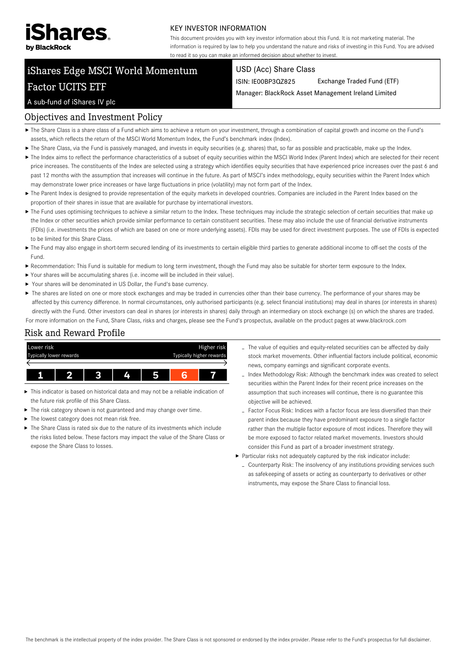

#### KEY INVESTOR INFORMATION

This document provides you with key investor information about this Fund. It is not marketing material. The information is required by law to help you understand the nature and risks of investing in this Fund. You are advised to read it so you can make an informed decision about whether to invest.

# iShares Edge MSCI World Momentum Factor UCITS ETF

#### USD (Acc) Share Class

ISIN: IE00BP3QZ825 Exchange Traded Fund (ETF)

Manager: BlackRock Asset Management Ireland Limited

#### A sub-fund of iShares IV plc

#### Objectives and Investment Policy

- The Share Class is a share class of a Fund which aims to achieve a return on your investment, through a combination of capital growth and income on the Fund's assets, which reflects the return of the MSCI World Momentum Index, the Fund's benchmark index (Index).
- ▶ The Share Class, via the Fund is passively managed, and invests in equity securities (e.g. shares) that, so far as possible and practicable, make up the Index.
- ▶ The Index aims to reflect the performance characteristics of a subset of equity securities within the MSCI World Index (Parent Index) which are selected for their recent price increases. The constituents of the Index are selected using a strategy which identifies equity securities that have experienced price increases over the past 6 and past 12 months with the assumption that increases will continue in the future. As part of MSCI's index methodology, equity securities within the Parent Index which may demonstrate lower price increases or have large fluctuations in price (volatility) may not form part of the Index.
- ▶ The Parent Index is designed to provide representation of the equity markets in developed countries. Companies are included in the Parent Index based on the proportion of their shares in issue that are available for purchase by international investors.
- ▶ The Fund uses optimising techniques to achieve a similar return to the Index. These techniques may include the strategic selection of certain securities that make up the Index or other securities which provide similar performance to certain constituent securities. These may also include the use of financial derivative instruments (FDIs) (i.e. investments the prices of which are based on one or more underlying assets). FDIs may be used for direct investment purposes. The use of FDIs is expected to be limited for this Share Class.
- ▶ The Fund may also engage in short-term secured lending of its investments to certain eligible third parties to generate additional income to off-set the costs of the Fund.
- Recommendation: This Fund is suitable for medium to long term investment, though the Fund may also be suitable for shorter term exposure to the Index.
- Your shares will be accumulating shares (i.e. income will be included in their value).
- Your shares will be denominated in US Dollar, the Fund's base currency.
- ▶ The shares are listed on one or more stock exchanges and may be traded in currencies other than their base currency. The performance of your shares may be affected by this currency difference. In normal circumstances, only authorised participants (e.g. select financial institutions) may deal in shares (or interests in shares) directly with the Fund. Other investors can deal in shares (or interests in shares) daily through an intermediary on stock exchange (s) on which the shares are traded. For more information on the Fund, Share Class, risks and charges, please see the Fund's prospectus, available on the product pages at www.blackrock.com

## Risk and Reward Profile



- This indicator is based on historical data and may not be a reliable indication of the future risk profile of this Share Class.
- The risk category shown is not guaranteed and may change over time.
- ▶ The lowest category does not mean risk free.
- ▶ The Share Class is rated six due to the nature of its investments which include the risks listed below. These factors may impact the value of the Share Class or expose the Share Class to losses.
- The value of equities and equity-related securities can be affected by daily stock market movements. Other influential factors include political, economic news, company earnings and significant corporate events.
- Index Methodology Risk: Although the benchmark index was created to select securities within the Parent Index for their recent price increases on the assumption that such increases will continue, there is no guarantee this objective will be achieved.
- Factor Focus Risk: Indices with a factor focus are less diversified than their parent index because they have predominant exposure to a single factor rather than the multiple factor exposure of most indices. Therefore they will be more exposed to factor related market movements. Investors should consider this Fund as part of a broader investment strategy.
- Particular risks not adequately captured by the risk indicator include: - Counterparty Risk: The insolvency of any institutions providing services such as safekeeping of assets or acting as counterparty to derivatives or other instruments, may expose the Share Class to financial loss.